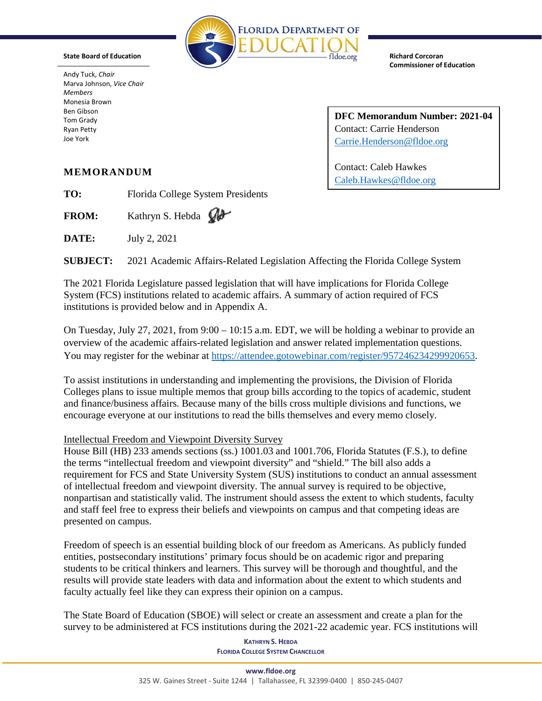

**State Board of Education**

Andy Tuck, *Chair* Marva Johnson, *Vice Chair Members* Monesia Brown Ben Gibson Tom Grady Ryan Petty Joe York

**Richard Corcoran Commissioner of Education**

**DFC Memorandum Number: 2021-04** Contact: Carrie Henderson [Carrie.Henderson@fldoe.org](mailto:Carrie.Henderson@fldoe.org)

Contact: Caleb Hawkes [Caleb.Hawkes@fldoe.org](mailto:Caleb.Hawkes@fldoe.org)

## **MEMORANDUM**

**TO:** Florida College System Presidents

FROM: Kathryn S. Hebda  $\mathbb{Q}$ 

**DATE:** July 2, 2021

**SUBJECT:** 2021 Academic Affairs-Related Legislation Affecting the Florida College System

The 2021 Florida Legislature passed legislation that will have implications for Florida College System (FCS) institutions related to academic affairs. A summary of action required of FCS institutions is provided below and in Appendix A.

On Tuesday, July 27, 2021, from  $9:00 - 10:15$  a.m. EDT, we will be holding a webinar to provide an overview of the academic affairs-related legislation and answer related implementation questions. You may register for the webinar at [https://attendee.gotowebinar.com/register/957246234299920653.](https://attendee.gotowebinar.com/register/957246234299920653)

To assist institutions in understanding and implementing the provisions, the Division of Florida Colleges plans to issue multiple memos that group bills according to the topics of academic, student and finance/business affairs. Because many of the bills cross multiple divisions and functions, we encourage everyone at our institutions to read the bills themselves and every memo closely.

# Intellectual Freedom and Viewpoint Diversity Survey

House Bill (HB) 233 amends sections (ss.) 1001.03 and 1001.706, Florida Statutes (F.S.), to define the terms "intellectual freedom and viewpoint diversity" and "shield." The bill also adds a requirement for FCS and State University System (SUS) institutions to conduct an annual assessment of intellectual freedom and viewpoint diversity. The annual survey is required to be objective, nonpartisan and statistically valid. The instrument should assess the extent to which students, faculty and staff feel free to express their beliefs and viewpoints on campus and that competing ideas are presented on campus.

Freedom of speech is an essential building block of our freedom as Americans. As publicly funded entities, postsecondary institutions' primary focus should be on academic rigor and preparing students to be critical thinkers and learners. This survey will be thorough and thoughtful, and the results will provide state leaders with data and information about the extent to which students and faculty actually feel like they can express their opinion on a campus.

The State Board of Education (SBOE) will select or create an assessment and create a plan for the survey to be administered at FCS institutions during the 2021-22 academic year. FCS institutions will

> **KATHRYN S. HEBDA FLORIDA COLLEGE SYSTEM CHANCELLOR**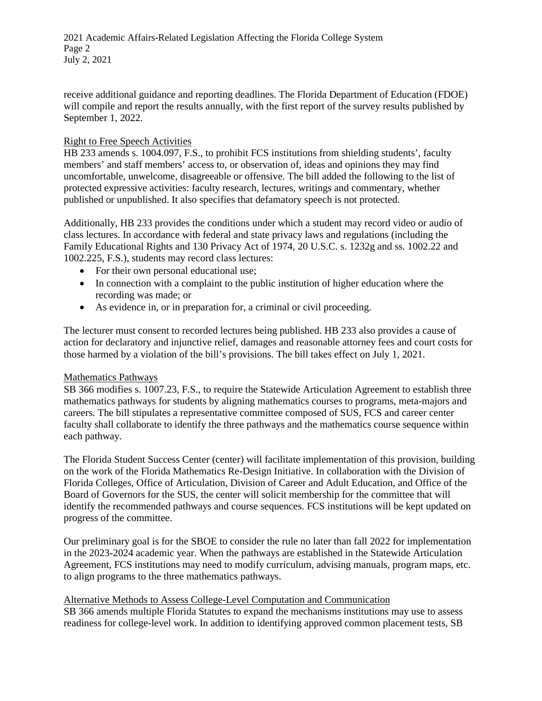2021 Academic Affairs-Related Legislation Affecting the Florida College System Page 2 July 2, 2021

receive additional guidance and reporting deadlines. The Florida Department of Education (FDOE) will compile and report the results annually, with the first report of the survey results published by September 1, 2022.

## Right to Free Speech Activities

HB 233 amends s. 1004.097, F.S., to prohibit FCS institutions from shielding students', faculty members' and staff members' access to, or observation of, ideas and opinions they may find uncomfortable, unwelcome, disagreeable or offensive. The bill added the following to the list of protected expressive activities: faculty research, lectures, writings and commentary, whether published or unpublished. It also specifies that defamatory speech is not protected.

Additionally, HB 233 provides the conditions under which a student may record video or audio of class lectures. In accordance with federal and state privacy laws and regulations (including the Family Educational Rights and 130 Privacy Act of 1974, 20 U.S.C. s. 1232g and ss. 1002.22 and 1002.225, F.S.), students may record class lectures:

- For their own personal educational use;
- In connection with a complaint to the public institution of higher education where the recording was made; or
- As evidence in, or in preparation for, a criminal or civil proceeding.

The lecturer must consent to recorded lectures being published. HB 233 also provides a cause of action for declaratory and injunctive relief, damages and reasonable attorney fees and court costs for those harmed by a violation of the bill's provisions. The bill takes effect on July 1, 2021.

## Mathematics Pathways

SB 366 modifies s. 1007.23, F.S., to require the Statewide Articulation Agreement to establish three mathematics pathways for students by aligning mathematics courses to programs, meta-majors and careers. The bill stipulates a representative committee composed of SUS, FCS and career center faculty shall collaborate to identify the three pathways and the mathematics course sequence within each pathway.

The Florida Student Success Center (center) will facilitate implementation of this provision, building on the work of the Florida Mathematics Re-Design Initiative. In collaboration with the Division of Florida Colleges, Office of Articulation, Division of Career and Adult Education, and Office of the Board of Governors for the SUS, the center will solicit membership for the committee that will identify the recommended pathways and course sequences. FCS institutions will be kept updated on progress of the committee.

Our preliminary goal is for the SBOE to consider the rule no later than fall 2022 for implementation in the 2023-2024 academic year. When the pathways are established in the Statewide Articulation Agreement, FCS institutions may need to modify curriculum, advising manuals, program maps, etc. to align programs to the three mathematics pathways.

## Alternative Methods to Assess College-Level Computation and Communication

SB 366 amends multiple Florida Statutes to expand the mechanisms institutions may use to assess readiness for college-level work. In addition to identifying approved common placement tests, SB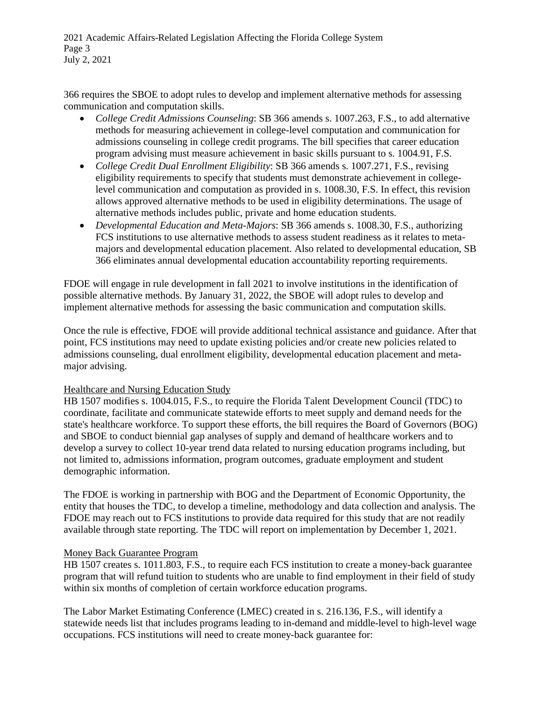2021 Academic Affairs-Related Legislation Affecting the Florida College System Page 3 July 2, 2021

366 requires the SBOE to adopt rules to develop and implement alternative methods for assessing communication and computation skills.

- *College Credit Admissions Counseling*: SB 366 amends s. 1007.263, F.S., to add alternative methods for measuring achievement in college-level computation and communication for admissions counseling in college credit programs. The bill specifies that career education program advising must measure achievement in basic skills pursuant to s. 1004.91, F.S.
- *College Credit Dual Enrollment Eligibility*: SB 366 amends s. 1007.271, F.S., revising eligibility requirements to specify that students must demonstrate achievement in collegelevel communication and computation as provided in s. 1008.30, F.S. In effect, this revision allows approved alternative methods to be used in eligibility determinations. The usage of alternative methods includes public, private and home education students.
- *Developmental Education and Meta-Majors*: SB 366 amends s. 1008.30, F.S., authorizing FCS institutions to use alternative methods to assess student readiness as it relates to metamajors and developmental education placement. Also related to developmental education, SB 366 eliminates annual developmental education accountability reporting requirements.

FDOE will engage in rule development in fall 2021 to involve institutions in the identification of possible alternative methods. By January 31, 2022, the SBOE will adopt rules to develop and implement alternative methods for assessing the basic communication and computation skills.

Once the rule is effective, FDOE will provide additional technical assistance and guidance. After that point, FCS institutions may need to update existing policies and/or create new policies related to admissions counseling, dual enrollment eligibility, developmental education placement and metamajor advising.

## Healthcare and Nursing Education Study

HB 1507 modifies s. 1004.015, F.S., to require the Florida Talent Development Council (TDC) to coordinate, facilitate and communicate statewide efforts to meet supply and demand needs for the state's healthcare workforce. To support these efforts, the bill requires the Board of Governors (BOG) and SBOE to conduct biennial gap analyses of supply and demand of healthcare workers and to develop a survey to collect 10-year trend data related to nursing education programs including, but not limited to, admissions information, program outcomes, graduate employment and student demographic information.

The FDOE is working in partnership with BOG and the Department of Economic Opportunity, the entity that houses the TDC, to develop a timeline, methodology and data collection and analysis. The FDOE may reach out to FCS institutions to provide data required for this study that are not readily available through state reporting. The TDC will report on implementation by December 1, 2021.

## Money Back Guarantee Program

HB 1507 creates s. 1011.803, F.S., to require each FCS institution to create a money-back guarantee program that will refund tuition to students who are unable to find employment in their field of study within six months of completion of certain workforce education programs.

The Labor Market Estimating Conference (LMEC) created in s. 216.136, F.S., will identify a statewide needs list that includes programs leading to in-demand and middle-level to high-level wage occupations. FCS institutions will need to create money-back guarantee for: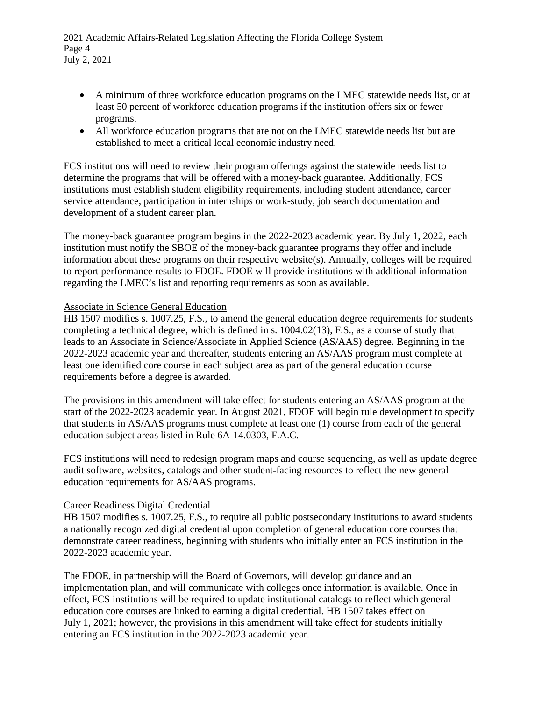2021 Academic Affairs-Related Legislation Affecting the Florida College System Page 4 July 2, 2021

- A minimum of three workforce education programs on the LMEC statewide needs list, or at least 50 percent of workforce education programs if the institution offers six or fewer programs.
- All workforce education programs that are not on the LMEC statewide needs list but are established to meet a critical local economic industry need.

FCS institutions will need to review their program offerings against the statewide needs list to determine the programs that will be offered with a money-back guarantee. Additionally, FCS institutions must establish student eligibility requirements, including student attendance, career service attendance, participation in internships or work-study, job search documentation and development of a student career plan.

The money-back guarantee program begins in the 2022-2023 academic year. By July 1, 2022, each institution must notify the SBOE of the money-back guarantee programs they offer and include information about these programs on their respective website(s). Annually, colleges will be required to report performance results to FDOE. FDOE will provide institutions with additional information regarding the LMEC's list and reporting requirements as soon as available.

#### Associate in Science General Education

HB 1507 modifies s. 1007.25, F.S., to amend the general education degree requirements for students completing a technical degree, which is defined in s. 1004.02(13), F.S., as a course of study that leads to an Associate in Science/Associate in Applied Science (AS/AAS) degree. Beginning in the 2022-2023 academic year and thereafter, students entering an AS/AAS program must complete at least one identified core course in each subject area as part of the general education course requirements before a degree is awarded.

The provisions in this amendment will take effect for students entering an AS/AAS program at the start of the 2022-2023 academic year. In August 2021, FDOE will begin rule development to specify that students in AS/AAS programs must complete at least one (1) course from each of the general education subject areas listed in Rule 6A-14.0303, F.A.C.

FCS institutions will need to redesign program maps and course sequencing, as well as update degree audit software, websites, catalogs and other student-facing resources to reflect the new general education requirements for AS/AAS programs.

## Career Readiness Digital Credential

HB 1507 modifies s. 1007.25, F.S., to require all public postsecondary institutions to award students a nationally recognized digital credential upon completion of general education core courses that demonstrate career readiness, beginning with students who initially enter an FCS institution in the 2022-2023 academic year.

The FDOE, in partnership will the Board of Governors, will develop guidance and an implementation plan, and will communicate with colleges once information is available. Once in effect, FCS institutions will be required to update institutional catalogs to reflect which general education core courses are linked to earning a digital credential. HB 1507 takes effect on July 1, 2021; however, the provisions in this amendment will take effect for students initially entering an FCS institution in the 2022-2023 academic year.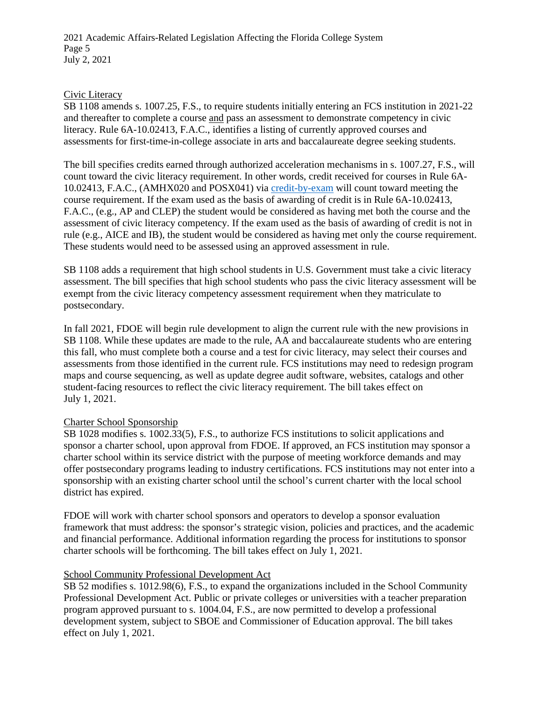2021 Academic Affairs-Related Legislation Affecting the Florida College System Page 5 July 2, 2021

#### Civic Literacy

SB 1108 amends s. 1007.25, F.S., to require students initially entering an FCS institution in 2021-22 and thereafter to complete a course and pass an assessment to demonstrate competency in civic literacy. Rule 6A-10.02413, F.A.C., identifies a listing of currently approved courses and assessments for first-time-in-college associate in arts and baccalaureate degree seeking students.

The bill specifies credits earned through authorized acceleration mechanisms in s. 1007.27, F.S., will count toward the civic literacy requirement. In other words, credit received for courses in Rule 6A-10.02413, F.A.C., (AMHX020 and POSX041) via [credit-by-exam](http://www.fldoe.org/core/fileparse.php/5421/urlt/0078391-acc-cbe.pdf) will count toward meeting the course requirement. If the exam used as the basis of awarding of credit is in Rule 6A-10.02413, F.A.C., (e.g., AP and CLEP) the student would be considered as having met both the course and the assessment of civic literacy competency. If the exam used as the basis of awarding of credit is not in rule (e.g., AICE and IB), the student would be considered as having met only the course requirement. These students would need to be assessed using an approved assessment in rule.

SB 1108 adds a requirement that high school students in U.S. Government must take a civic literacy assessment. The bill specifies that high school students who pass the civic literacy assessment will be exempt from the civic literacy competency assessment requirement when they matriculate to postsecondary.

In fall 2021, FDOE will begin rule development to align the current rule with the new provisions in SB 1108. While these updates are made to the rule, AA and baccalaureate students who are entering this fall, who must complete both a course and a test for civic literacy, may select their courses and assessments from those identified in the current rule. FCS institutions may need to redesign program maps and course sequencing, as well as update degree audit software, websites, catalogs and other student-facing resources to reflect the civic literacy requirement. The bill takes effect on July 1, 2021.

## Charter School Sponsorship

SB 1028 modifies s. 1002.33(5), F.S., to authorize FCS institutions to solicit applications and sponsor a charter school, upon approval from FDOE. If approved, an FCS institution may sponsor a charter school within its service district with the purpose of meeting workforce demands and may offer postsecondary programs leading to industry certifications. FCS institutions may not enter into a sponsorship with an existing charter school until the school's current charter with the local school district has expired.

FDOE will work with charter school sponsors and operators to develop a sponsor evaluation framework that must address: the sponsor's strategic vision, policies and practices, and the academic and financial performance. Additional information regarding the process for institutions to sponsor charter schools will be forthcoming. The bill takes effect on July 1, 2021.

## School Community Professional Development Act

SB 52 modifies s. 1012.98(6), F.S., to expand the organizations included in the School Community Professional Development Act. Public or private colleges or universities with a teacher preparation program approved pursuant to s. 1004.04, F.S., are now permitted to develop a professional development system, subject to SBOE and Commissioner of Education approval. The bill takes effect on July 1, 2021.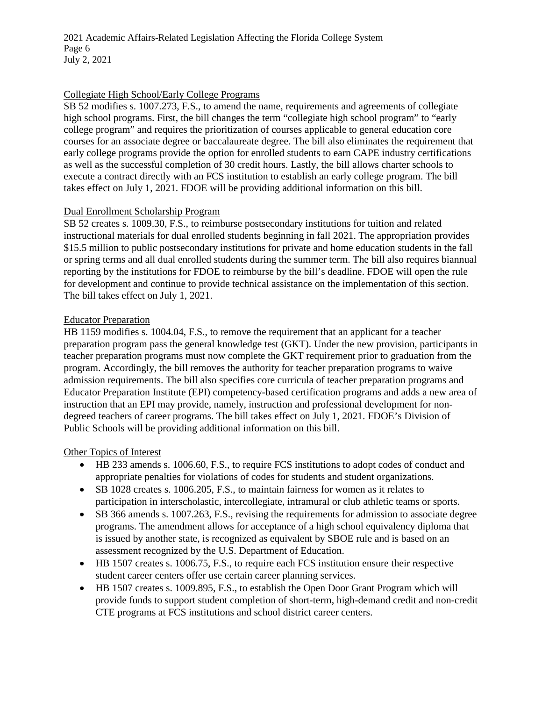2021 Academic Affairs-Related Legislation Affecting the Florida College System Page 6 July 2, 2021

#### Collegiate High School/Early College Programs

SB 52 modifies s. 1007.273, F.S., to amend the name, requirements and agreements of collegiate high school programs. First, the bill changes the term "collegiate high school program" to "early college program" and requires the prioritization of courses applicable to general education core courses for an associate degree or baccalaureate degree. The bill also eliminates the requirement that early college programs provide the option for enrolled students to earn CAPE industry certifications as well as the successful completion of 30 credit hours. Lastly, the bill allows charter schools to execute a contract directly with an FCS institution to establish an early college program. The bill takes effect on July 1, 2021. FDOE will be providing additional information on this bill.

#### Dual Enrollment Scholarship Program

SB 52 creates s. 1009.30, F.S., to reimburse postsecondary institutions for tuition and related instructional materials for dual enrolled students beginning in fall 2021. The appropriation provides \$15.5 million to public postsecondary institutions for private and home education students in the fall or spring terms and all dual enrolled students during the summer term. The bill also requires biannual reporting by the institutions for FDOE to reimburse by the bill's deadline. FDOE will open the rule for development and continue to provide technical assistance on the implementation of this section. The bill takes effect on July 1, 2021.

#### Educator Preparation

HB 1159 modifies s. 1004.04, F.S., to remove the requirement that an applicant for a teacher preparation program pass the general knowledge test (GKT). Under the new provision, participants in teacher preparation programs must now complete the GKT requirement prior to graduation from the program. Accordingly, the bill removes the authority for teacher preparation programs to waive admission requirements. The bill also specifies core curricula of teacher preparation programs and Educator Preparation Institute (EPI) competency-based certification programs and adds a new area of instruction that an EPI may provide, namely, instruction and professional development for nondegreed teachers of career programs. The bill takes effect on July 1, 2021. FDOE's Division of Public Schools will be providing additional information on this bill.

#### Other Topics of Interest

- HB 233 amends s. 1006.60, F.S., to require FCS institutions to adopt codes of conduct and appropriate penalties for violations of codes for students and student organizations.
- SB 1028 creates s. 1006.205, F.S., to maintain fairness for women as it relates to participation in interscholastic, intercollegiate, intramural or club athletic teams or sports.
- SB 366 amends s. 1007.263, F.S., revising the requirements for admission to associate degree programs. The amendment allows for acceptance of a high school equivalency diploma that is issued by another state, is recognized as equivalent by SBOE rule and is based on an assessment recognized by the U.S. Department of Education.
- HB 1507 creates s. 1006.75, F.S., to require each FCS institution ensure their respective student career centers offer use certain career planning services.
- HB 1507 creates s. 1009.895, F.S., to establish the Open Door Grant Program which will provide funds to support student completion of short-term, high-demand credit and non-credit CTE programs at FCS institutions and school district career centers.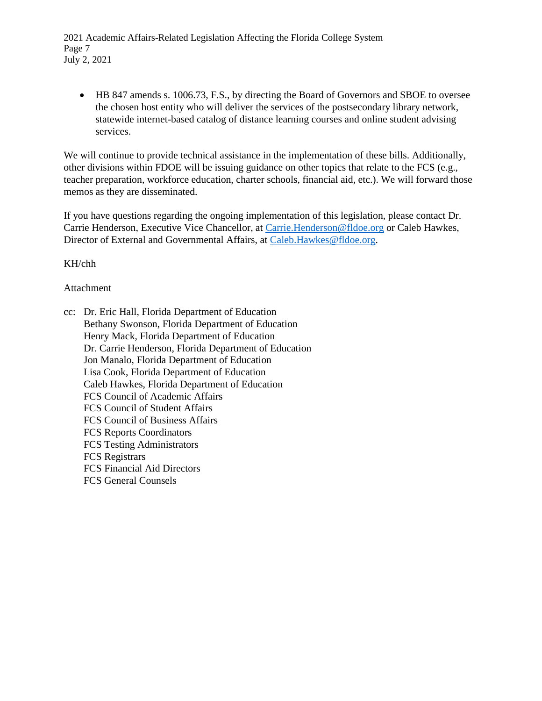2021 Academic Affairs-Related Legislation Affecting the Florida College System Page 7 July 2, 2021

• HB 847 amends s. 1006.73, F.S., by directing the Board of Governors and SBOE to oversee the chosen host entity who will deliver the services of the postsecondary library network, statewide internet-based catalog of distance learning courses and online student advising services.

We will continue to provide technical assistance in the implementation of these bills. Additionally, other divisions within FDOE will be issuing guidance on other topics that relate to the FCS (e.g., teacher preparation, workforce education, charter schools, financial aid, etc.). We will forward those memos as they are disseminated.

If you have questions regarding the ongoing implementation of this legislation, please contact Dr. Carrie Henderson, Executive Vice Chancellor, at [Carrie.Henderson@fldoe.org](mailto:Carrie.Henderson@fldoe.org) or Caleb Hawkes, Director of External and Governmental Affairs, at [Caleb.Hawkes@fldoe.org.](mailto:Caleb.Hawkes@fldoe.org)

KH/chh

#### Attachment

cc: Dr. Eric Hall, Florida Department of Education Bethany Swonson, Florida Department of Education Henry Mack, Florida Department of Education Dr. Carrie Henderson, Florida Department of Education Jon Manalo, Florida Department of Education Lisa Cook, Florida Department of Education Caleb Hawkes, Florida Department of Education FCS Council of Academic Affairs FCS Council of Student Affairs FCS Council of Business Affairs FCS Reports Coordinators FCS Testing Administrators FCS Registrars FCS Financial Aid Directors FCS General Counsels